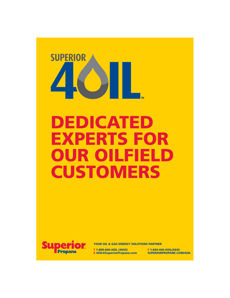

# DEDICATED EXPERTS FOR OUR OILFIELD **CUSTOMERS**



YOUR OIL & GAS ENERGY SOLUTIONS PARTNER

E 40IL@SuperiorPropane.com

T 1-800-660-4OIL (4645) F 1-844-466-4OIL (4645<br>E 4OIL@SuperiorPropane.com SUPERIORPROPANE.COM/4OIL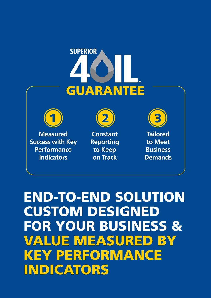# **SUPERIOR** GUARANTEE



**Measured Success with Key Performance Indicators**



**Constant Reporting to Keep on Track**



**Tailored to Meet Business Demands**

END-TO-END SOLUTION CUSTOM DESIGNED FOR YOUR BUSINESS & VALUE MEASURED BY KEY PERFORMANCE INDICATORS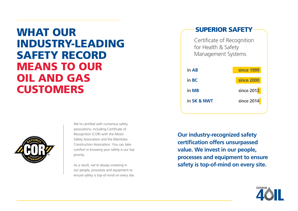## WHAT OUR INDUSTRY-LEADING SAFETY RECORD MEANS TO OUR OIL AND GAS **CUSTOMERS**



We're certified with numerous safety associations, including Certificate of Recognition (COR) with the Motor Safety Association and the Manitoba Construction Association. You can take comfort in knowing your safety is our top priority.

As a result, we're always investing in our people, processes and equipment to ensure safety is top-of-mind on every site.

### SUPERIOR SAFETY

Certificate of Recognition for Health & Safety Management Systems

| in AB       | since 1999 |
|-------------|------------|
| in BC       | since 2000 |
| in MB       | since 2012 |
| in SK & NWT | since 2014 |
|             |            |

**Our industry-recognized safety certification offers unsurpassed value. We invest in our people, processes and equipment to ensure safety is top-of-mind on every site.**

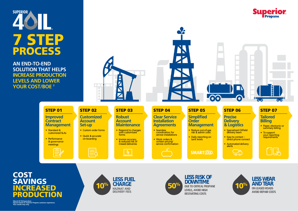

**AN END-TO-END SOLUTION THAT HELPS INCREASE PRODUCTION LEVELS AND LOWER YOUR COST/BOE †**

> **Improved Contract**

• Standard & customized SLAs

• Performance & governance meetings

**Management**



**Customized Account Set-up**

• Custom order forms

弖

• Quick & accurate on-boarding



**Robust Account Maintenance**

• Respond to changes with customized forms

 $R$ 

• Invoice accuracy & reduced risk of missed deliveries

**Clear Service Installation Agreements**

coordination for service installations • Work orders & written pricing/ service confirmation

• Seamless

### **Simplified Order**

**Management** • Reduce out-of-gas

66

risk & admin costs • Daily reporting on tank levels

**SMARTIAND** 

-IN

 $\mathbf{O}$ 

• Specialized Oilfield delivery team

• Easy to contact – direct phone connect • Automated delivery

— )⊒

 $\overline{O}$ -O

**Precise Delivery & Logistics**

alerts

**Tailored Billing**

 $\bullet$   $\bullet$ 

- Paper, electronic or summary billing
- To support your reporting requirements

## COST **SAVINGS REASED** ODUCTIO

**†Barrel Of Oil Equivalent. Figures based on Superior Propane customer experience. Your results may vary.**





**LESS WEAR AND TEAR** ON LEASED ROADS AVOID REPAIR COSTS



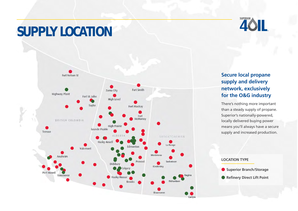# **SUPPLY LOCATION**



### **Secure local propane supply and delivery network, exclusively for the O&G industry**

SUPERIOR \

There's nothing more important than a steady supply of propane. Superior's nationally-powered, locally delivered buying power means you'll always have a secure supply and increased production.

### **LOCATION TYPE**

**Superior Branch/Storage • Refinery Direct Lift Point**